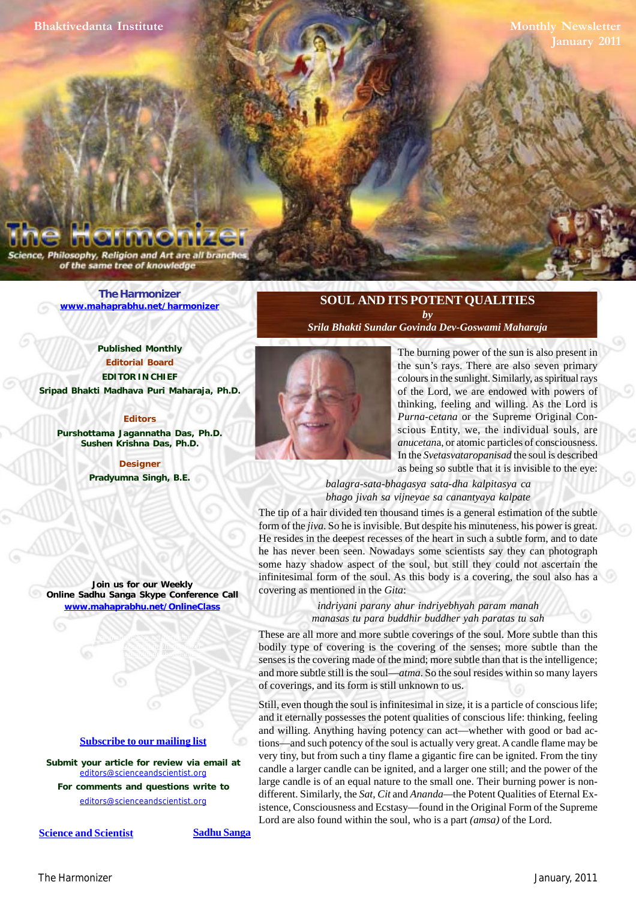**Monthly Newsletter**

Philosophy, Religion and Art are all brai of the same tree of knowledge

> **[The Harmonizer](http://mahaprabhu.net/satsanga/harmonizer/) www.mahaprabhu.net/harmonizer**

**Published Monthly Editorial Board EDITOR IN CHIEF Sripad Bhakti Madhava Puri Maharaja, Ph.D.**

**Editors Purshottama Jagannatha Das, Ph.D. Sushen Krishna Das, Ph.D.**

> **Designer Pradyumna Singh, B.E.**

**Join us for our Weekly Online Sadhu Sanga Skype Conference Call www.mahaprabhu.net/OnlineClass**

> www.mahaprabhu.net/harmonizer www.mahapprabhu.net/harmonizer www.mahaprabhu.net/harmonizer

#### **<u>Subscribe to our mailing list</u>**

**Submit your article for review via email at** editors@scienceandscientist.org

**For comments and questions write to** editors@scienceandscientist.org

**<u>Science and Scientist</u> Sadhu Sanga** 

# **SOUL AND ITS POTENT QUALITIES** *by*

*[Srila Bhakti Sundar Govinda Dev-Goswami Maharaja](http://www.scsmath.com/docs/govinda_maharaj.html)*



 . thinking, feeling and willing. As the Lord is The burning power of the sun is also present in the sun's rays. There are also seven primary colours in the sunlight. Similarly, as spiritual rays of the Lord, we are endowed with powers of *Purna-cetana* or the Supreme Original Conscious Entity, we, the individual souls, are *anucetan*a, or atomic particles of consciousness. In the *Svetasvataropanisad* the soul is described as being so subtle that it is invisible to the eye:

#### *balagra-sata-bhagasya sata-dha kalpitasya ca bhago jivah sa vijneyae sa canantyaya kalpate*

The tip of a hair divided ten thousand times is a general estimation of the subtle form of the *jiva*. So he is invisible. But despite his minuteness, his power is great. He resides in the deepest recesses of the heart in such a subtle form, and to date he has never been seen. Nowadays some scientists say they can photograph some hazy shadow aspect of the soul, but still they could not ascertain the infinitesimal form of the soul. As this body is a covering, the soul also has a covering as mentioned in the *Gita*:

> *indriyani parany ahur indriyebhyah param manah manasas tu para buddhir buddher yah paratas tu sah*

These are all more and more subtle coverings of the soul. More subtle than this bodily type of covering is the covering of the senses; more subtle than the senses is the covering made of the mind; more subtle than that is the intelligence; and more subtle still is the soul—*atma*. So the soul resides within so many layers of coverings, and its form is still unknown to us.

Still, even though the soul is infinitesimal in size, it is a particle of conscious life; and it eternally possesses the potent qualities of conscious life: thinking, feeling and willing. Anything having potency can act—whether with good or bad actions—and such potency of the soul is actually very great. A candle flame may be very tiny, but from such a tiny flame a gigantic fire can be ignited. From the tiny candle a larger candle can be ignited, and a larger one still; and the power of the large candle is of an equal nature to the small one. Their burning power is nondifferent. Similarly, the *Sat, Cit* and *Ananda—*the Potent Qualities of Eternal Existence, Consciousness and Ecstasy—found in the Original Form of the Supreme Lord are also found within the soul, who is a part *(amsa)* of the Lord.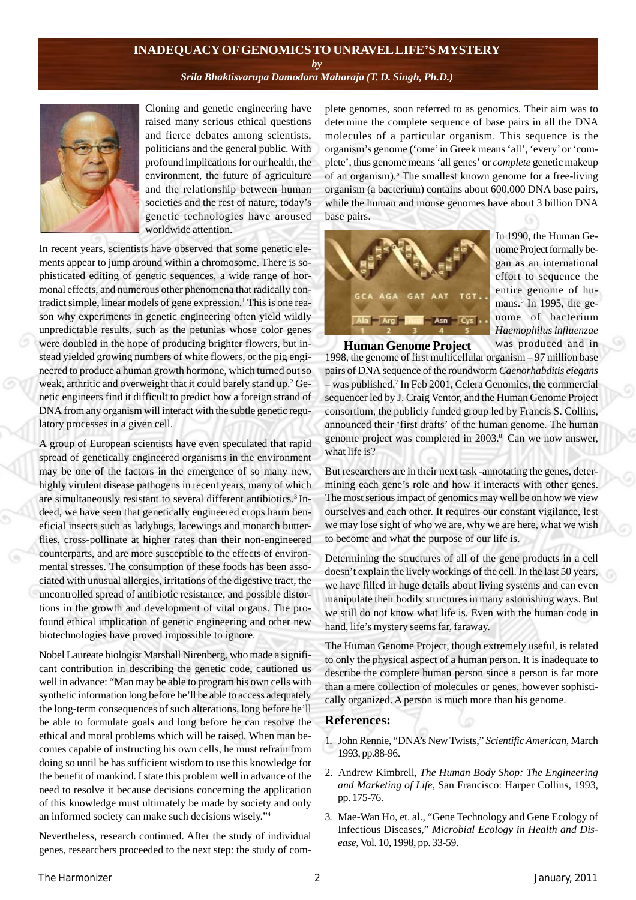#### **INADEQUACY OF GENOMICS TO UNRAVEL LIFE'S MYSTERY**

*by*

#### *[Srila Bhaktisvarupa Damodara Maharaja \(T. D. Singh, Ph.D.\)](http://mahaprabhu.net/sadhusanga/blog1.php/2009/10/01/affectionate-guardians)*



Cloning and genetic engineering have raised many serious ethical questions and fierce debates among scientists, politicians and the general public. With profound implications for our health, the environment, the future of agriculture and the relationship between human societies and the rest of nature, today's genetic technologies have aroused worldwide attention.

In recent years, scientists have observed that some genetic elements appear to jump around within a chromosome. There is sophisticated editing of genetic sequences, a wide range of hormonal effects, and numerous other phenomena that radically contradict simple, linear models of gene expression.<sup>1</sup> This is one reason why experiments in genetic engineering often yield wildly unpredictable results, such as the petunias whose color genes were doubled in the hope of producing brighter flowers, but instead yielded growing numbers of white flowers, or the pig engineered to produce a human growth hormone, which turned out so weak, arthritic and overweight that it could barely stand up.<sup>2</sup> Genetic engineers find it difficult to predict how a foreign strand of DNA from any organism will interact with the subtle genetic regulatory processes in a given cell.

A group of European scientists have even speculated that rapid spread of genetically engineered organisms in the environment may be one of the factors in the emergence of so many new, highly virulent disease pathogens in recent years, many of which are simultaneously resistant to several different antibiotics.<sup>3</sup> Indeed, we have seen that genetically engineered crops harm beneficial insects such as ladybugs, lacewings and monarch butterflies, cross-pollinate at higher rates than their non-engineered counterparts, and are more susceptible to the effects of environmental stresses. The consumption of these foods has been associated with unusual allergies, irritations of the digestive tract, the uncontrolled spread of antibiotic resistance, and possible distortions in the growth and development of vital organs. The profound ethical implication of genetic engineering and other new biotechnologies have proved impossible to ignore.

Nobel Laureate biologist Marshall Nirenberg, who made a significant contribution in describing the genetic code, cautioned us well in advance: "Man may be able to program his own cells with synthetic information long before he'll be able to access adequately the long-term consequences of such alterations, long before he'll be able to formulate goals and long before he can resolve the ethical and moral problems which will be raised. When man becomes capable of instructing his own cells, he must refrain from doing so until he has sufficient wisdom to use this knowledge for the benefit of mankind. I state this problem well in advance of the need to resolve it because decisions concerning the application of this knowledge must ultimately be made by society and only an informed society can make such decisions wisely."4

Nevertheless, research continued. After the study of individual genes, researchers proceeded to the next step: the study of complete genomes, soon referred to as genomics. Their aim was to determine the complete sequence of base pairs in all the DNA molecules of a particular organism. This sequence is the organism's genome ('ome' in Greek means 'all', 'every' or 'complete', thus genome means 'all genes' or *complete* genetic makeup of an organism).<sup>5</sup> The smallest known genome for a free-living organism (a bacterium) contains about 600,000 DNA base pairs, while the human and mouse genomes have about 3 billion DNA base pairs.



In 1990, the Human Genome Project formally began as an international effort to sequence the entire genome of humans.<sup>6</sup> In 1995, the genome of bacterium *Haemophilus influenzae* was produced and in

1998, the genome of first multicellular organism – 97 million base **Human Genome Project**

pairs of DNA sequence of the roundworm *Caenorhabditis eiegans* – was published.7 In Feb 2001, Celera Genomics, the commercial sequencer led by J. Craig Ventor, and the Human Genome Project consortium, the publicly funded group led by Francis S. Collins, announced their 'first drafts' of the human genome. The human genome project was completed in 2003.<sup>8</sup> Can we now answer, what life is?

But researchers are in their next task -annotating the genes, determining each gene's role and how it interacts with other genes. The most serious impact of genomics may well be on how we view ourselves and each other. It requires our constant vigilance, lest we may lose sight of who we are, why we are here, what we wish to become and what the purpose of our life is.

Determining the structures of all of the gene products in a cell doesn't explain the lively workings of the cell. In the last 50 years, we have filled in huge details about living systems and can even manipulate their bodily structures in many astonishing ways. But we still do not know what life is. Even with the human code in hand, life's mystery seems far, faraway.

The Human Genome Project, though extremely useful, is related to only the physical aspect of a human person. It is inadequate to describe the complete human person since a person is far more than a mere collection of molecules or genes, however sophistically organized. A person is much more than his genome.

#### **References:**

- 1. John Rennie, "DNA's New Twists," *Scientific American,* March 1993, pp.88-96.
- 2. Andrew Kimbrell, *The Human Body Shop: The Engineering and Marketing of Life,* San Francisco: Harper Collins, 1993, pp. 175-76.
- 3. Mae-Wan Ho, et. al., "Gene Technology and Gene Ecology of Infectious Diseases," *Microbial Ecology in Health and Disease,* Vol. 10, 1998, pp. 33-59.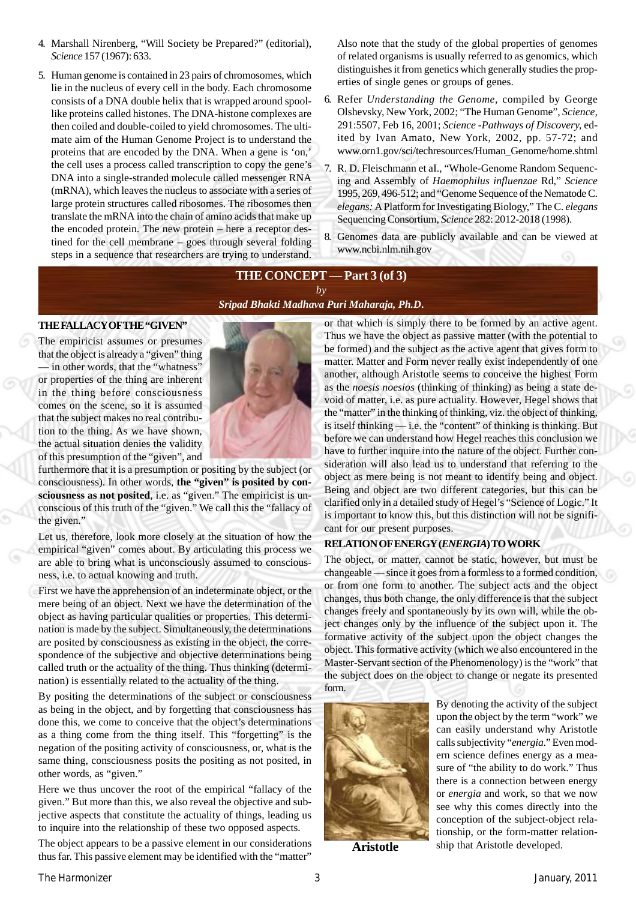- 4. Marshall Nirenberg, "Will Society be Prepared?" (editorial), *Science* 157 (1967): 633.
- 5. Human genome is contained in 23 pairs of chromosomes, which lie in the nucleus of every cell in the body. Each chromosome consists of a DNA double helix that is wrapped around spoollike proteins called histones. The DNA-histone complexes are then coiled and double-coiled to yield chromosomes. The ultimate aim of the Human Genome Project is to understand the proteins that are encoded by the DNA. When a gene is 'on,' the cell uses a process called transcription to copy the gene's DNA into a single-stranded molecule called messenger RNA (mRNA), which leaves the nucleus to associate with a series of large protein structures called ribosomes. The ribosomes then translate the mRNA into the chain of amino acids that make up the encoded protein. The new protein – here a receptor destined for the cell membrane – goes through several folding steps in a sequence that researchers are trying to understand.

Also note that the study of the global properties of genomes of related organisms is usually referred to as genomics, which distinguishes it from genetics which generally studies the properties of single genes or groups of genes.

- 6. Refer *Understanding the Genome,* compiled by George Olshevsky, New York, 2002; "The Human Genome", *Science,* 291:5507, Feb 16, 2001; *Science* -*Pathways of Discovery,* edited by Ivan Amato, New York, 2002, pp. 57-72; and www.orn1.gov/sci/techresources/Human\_Genome/home.shtml
- 7. R. D. Fleischmann et aI., "Whole-Genome Random Sequencing and Assembly of *Haemophilus influenzae* Rd," *Science* 1995, 269, 496-512; and "Genome Sequence of the Nematode C. *elegans:* A Platform for Investigating Biology," The C. *elegans* Sequencing Consortium, *Science* 282: 2012-2018 (1998).
- 8. Genomes data are publicly available and can be viewed at www.ncbi.nlm.nih.gov

### **THE CONCEPT — Part 3 (of 3)** *by*

## *[Sripad Bhakti Madhava Puri Maharaja, Ph.D](http://mahaprabhu.net/sadhusanga/blog1.php/2009/10/01/affectionate-guardians)***.**

#### **THE FALLACY OF THE "GIVEN"**

The empiricist assumes or presumes that the object is already a "given" thing — in other words, that the "whatness" or properties of the thing are inherent in the thing before consciousness comes on the scene, so it is assumed that the subject makes no real contribution to the thing. As we have shown, the actual situation denies the validity of this presumption of the "given", and



Let us, therefore, look more closely at the situation of how the empirical "given" comes about. By articulating this process we are able to bring what is unconsciously assumed to consciousness, i.e. to actual knowing and truth.

First we have the apprehension of an indeterminate object, or the mere being of an object. Next we have the determination of the object as having particular qualities or properties. This determination is made by the subject. Simultaneously, the determinations are posited by consciousness as existing in the object, the correspondence of the subjective and objective determinations being called truth or the actuality of the thing. Thus thinking (determination) is essentially related to the actuality of the thing.

By positing the determinations of the subject or consciousness as being in the object, and by forgetting that consciousness has done this, we come to conceive that the object's determinations as a thing come from the thing itself. This "forgetting" is the negation of the positing activity of consciousness, or, what is the same thing, consciousness posits the positing as not posited, in other words, as "given."

Here we thus uncover the root of the empirical "fallacy of the given." But more than this, we also reveal the objective and subjective aspects that constitute the actuality of things, leading us to inquire into the relationship of these two opposed aspects.

The object appears to be a passive element in our considerations thus far. This passive element may be identified with the "matter"

or that which is simply there to be formed by an active agent. Thus we have the object as passive matter (with the potential to be formed) and the subject as the active agent that gives form to matter. Matter and Form never really exist independently of one another, although Aristotle seems to conceive the highest Form as the *noesis noesios* (thinking of thinking) as being a state devoid of matter, i.e. as pure actuality. However, Hegel shows that the "matter" in the thinking of thinking, viz. the object of thinking, is itself thinking — i.e. the "content" of thinking is thinking. But before we can understand how Hegel reaches this conclusion we have to further inquire into the nature of the object. Further consideration will also lead us to understand that referring to the object as mere being is not meant to identify being and object. Being and object are two different categories, but this can be clarified only in a detailed study of Hegel's "Science of Logic." It is important to know this, but this distinction will not be significant for our present purposes.

#### **RELATION OF ENERGY (***ENERGIA***) TO WORK**

The object, or matter, cannot be static, however, but must be changeable — since it goes from a formless to a formed condition, or from one form to another. The subject acts and the object changes, thus both change, the only difference is that the subject changes freely and spontaneously by its own will, while the object changes only by the influence of the subject upon it. The formative activity of the subject upon the object changes the object. This formative activity (which we also encountered in the Master-Servant section of the Phenomenology) is the "work" that the subject does on the object to change or negate its presented form.



By denoting the activity of the subject upon the object by the term "work" we can easily understand why Aristotle calls subjectivity "*energia*." Even modern science defines energy as a measure of "the ability to do work." Thus there is a connection between energy or *energia* and work, so that we now see why this comes directly into the conception of the subject-object relationship, or the form-matter relationship that Aristotle developed.